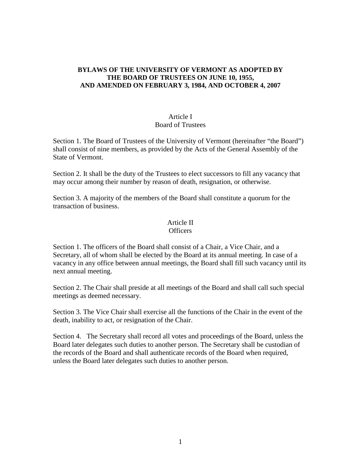### **BYLAWS OF THE UNIVERSITY OF VERMONT AS ADOPTED BY THE BOARD OF TRUSTEES ON JUNE 10, 1955, AND AMENDED ON FEBRUARY 3, 1984, AND OCTOBER 4, 2007**

# Article I Board of Trustees

Section 1. The Board of Trustees of the University of Vermont (hereinafter "the Board") shall consist of nine members, as provided by the Acts of the General Assembly of the State of Vermont.

Section 2. It shall be the duty of the Trustees to elect successors to fill any vacancy that may occur among their number by reason of death, resignation, or otherwise.

Section 3. A majority of the members of the Board shall constitute a quorum for the transaction of business.

#### Article II **Officers**

Section 1. The officers of the Board shall consist of a Chair, a Vice Chair, and a Secretary, all of whom shall be elected by the Board at its annual meeting. In case of a vacancy in any office between annual meetings, the Board shall fill such vacancy until its next annual meeting.

Section 2. The Chair shall preside at all meetings of the Board and shall call such special meetings as deemed necessary.

Section 3. The Vice Chair shall exercise all the functions of the Chair in the event of the death, inability to act, or resignation of the Chair.

Section 4. The Secretary shall record all votes and proceedings of the Board, unless the Board later delegates such duties to another person. The Secretary shall be custodian of the records of the Board and shall authenticate records of the Board when required, unless the Board later delegates such duties to another person.